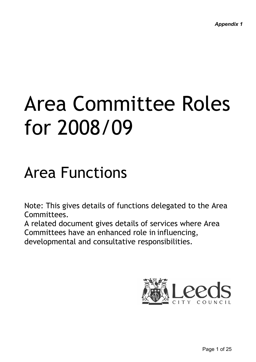# Area Committee Roles for 2008/09

# Area Functions

Note: This gives details of functions delegated to the Area Committees.

A related document gives details of services where Area Committees have an enhanced role in influencing, developmental and consultative responsibilities.

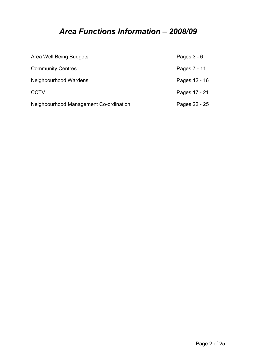# Area Functions Information – 2008/09

| Area Well Being Budgets                | Pages $3 - 6$ |
|----------------------------------------|---------------|
| <b>Community Centres</b>               | Pages 7 - 11  |
| Neighbourhood Wardens                  | Pages 12 - 16 |
| <b>CCTV</b>                            | Pages 17 - 21 |
| Neighbourhood Management Co-ordination | Pages 22 - 25 |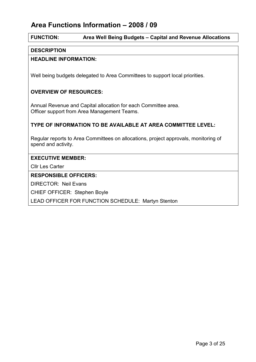# Area Functions Information – 2008 / 09

## FUNCTION: Area Well Being Budgets – Capital and Revenue Allocations

#### **DESCRIPTION**

#### HEADLINE INFORMATION:

Well being budgets delegated to Area Committees to support local priorities.

#### OVERVIEW OF RESOURCES:

Annual Revenue and Capital allocation for each Committee area. Officer support from Area Management Teams.

#### TYPE OF INFORMATION TO BE AVAILABLE AT AREA COMMITTEE LEVEL:

Regular reports to Area Committees on allocations, project approvals, monitoring of spend and activity.

#### EXECUTIVE MEMBER:

Cllr Les Carter

#### RESPONSIBLE OFFICERS:

DIRECTOR: Neil Evans

CHIEF OFFICER: Stephen Boyle

LEAD OFFICER FOR FUNCTION SCHEDULE: Martyn Stenton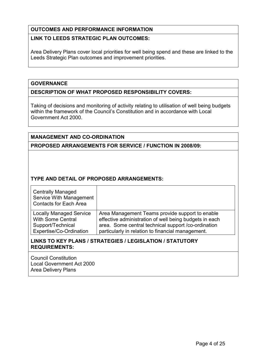#### LINK TO LEEDS STRATEGIC PLAN OUTCOMES:

Area Delivery Plans cover local priorities for well being spend and these are linked to the Leeds Strategic Plan outcomes and improvement priorities.

#### **GOVERNANCE**

#### DESCRIPTION OF WHAT PROPOSED RESPONSIBILITY COVERS:

Taking of decisions and monitoring of activity relating to utilisation of well being budgets within the framework of the Council's Constitution and in accordance with Local Government Act 2000.

#### MANAGEMENT AND CO-ORDINATION

PROPOSED ARRANGEMENTS FOR SERVICE / FUNCTION IN 2008/09:

#### TYPE AND DETAIL OF PROPOSED ARRANGEMENTS:

| <b>Centrally Managed</b><br>Service With Management<br><b>Contacts for Each Area</b> |                                                        |
|--------------------------------------------------------------------------------------|--------------------------------------------------------|
| <b>Locally Managed Service</b>                                                       | Area Management Teams provide support to enable        |
| <b>With Some Central</b>                                                             | effective administration of well being budgets in each |
| Support/Technical                                                                    | area. Some central technical support /co-ordination    |
| Expertise/Co-Ordination                                                              | particularly in relation to financial management.      |

#### LINKS TO KEY PLANS / STRATEGIES / LEGISLATION / STATUTORY REQUIREMENTS:

Council Constitution Local Government Act 2000 Area Delivery Plans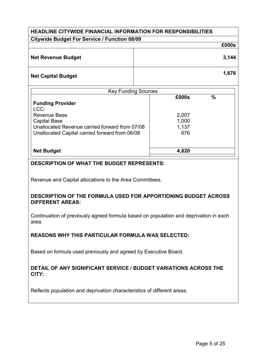| <b>HEADLINE CITYWIDE FINANCIAL INFORMATION FOR RESPONSIBILITIES</b> |                              |  |  |  |  |  |  |  |
|---------------------------------------------------------------------|------------------------------|--|--|--|--|--|--|--|
| <b>Citywide Budget For Service / Function 08/09</b>                 |                              |  |  |  |  |  |  |  |
|                                                                     |                              |  |  |  |  |  |  |  |
| <b>Net Revenue Budget</b>                                           | 3,144                        |  |  |  |  |  |  |  |
| <b>Net Capital Budget</b>                                           | 1,676                        |  |  |  |  |  |  |  |
| <b>Key Funding Sources</b>                                          | $\mathbf{0}$<br><b>COOOO</b> |  |  |  |  |  |  |  |

| £000s | $\frac{9}{6}$ |  |
|-------|---------------|--|
|       |               |  |
|       |               |  |
| 2,007 |               |  |
| 1,000 |               |  |
| 1,137 |               |  |
| 676   |               |  |
|       |               |  |
|       |               |  |
| 4,820 |               |  |
|       |               |  |

#### DESCRIPTION OF WHAT THE BUDGET REPRESENTS:

Revenue and Capital allocations to the Area Committees.

#### DESCRIPTION OF THE FORMULA USED FOR APPORTIONING BUDGET ACROSS DIFFERENT AREAS:

Continuation of previously agreed formula based on population and deprivation in each area.

#### REASONS WHY THIS PARTICULAR FORMULA WAS SELECTED:

Based on formula used previously and agreed by Executive Board.

#### DETAIL OF ANY SIGNIFICANT SERVICE / BUDGET VARIATIONS ACROSS THE CITY:

Reflects population and deprivation characteristics of different areas.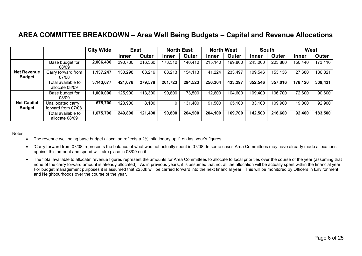# AREA COMMITTEE BREAKDOWN – Area Well Being Budgets – Capital and Revenue Allocations

|                                     |                                         | City Wide |              | <b>East</b> |              | <b>North East</b> |              | <b>North West</b> |         | <b>South</b> | West         |         |
|-------------------------------------|-----------------------------------------|-----------|--------------|-------------|--------------|-------------------|--------------|-------------------|---------|--------------|--------------|---------|
|                                     |                                         |           | <b>Inner</b> | Outer       | <b>Inner</b> | Outer             | <b>Inner</b> | Outer             | Inner   | Outer        | <b>Inner</b> | Outer   |
|                                     | Base budget for<br>08/09                | 2,006,430 | 290,780      | 216,360     | 173,510      | 140,410           | 215,140      | 199,800           | 243,000 | 203,880      | 150,440      | 173,110 |
| <b>Net Revenue</b><br><b>Budget</b> | Carry forward from<br>07/08             | 1,137,247 | 130,298      | 63,219      | 88,213       | 154,113           | 41,224       | 233,497           | 109,546 | 153,136      | 27,680       | 136,321 |
|                                     | Total available to<br>allocate 08/09    | 3,143,677 | 421,078      | 279,579     | 261,723      | 294,523           | 256,364      | 433,297           | 352,546 | 357,016      | 178,120      | 309,431 |
|                                     | Base budget for<br>08/09                | 1,000,000 | 125,900      | 113,300     | 90,800       | 73,500            | 112,600      | 104,600           | 109,400 | 106,700      | 72,600       | 90,600  |
| <b>Net Capital</b><br><b>Budget</b> | Unallocated carry<br>forward from 07/08 | 675,700   | 123,900      | 8,100       | 0            | 131,400           | 91,500       | 65,100            | 33,100  | 109,900      | 19,800       | 92,900  |
|                                     | Total available to<br>allocate 08/09    | 1,675,700 | 249,800      | 121,400     | 90,800       | 204,900           | 204,100      | 169,700           | 142,500 | 216,600      | 92,400       | 183,500 |

Notes:

- The revenue well being base budget allocation reflects a 2% inflationary uplift on last year's figures
- 'Carry forward from 07/08' represents the balance of what was not actually spent in 07/08. In some cases Area Committees may have already made allocations against this amount and spend will take place in 08/09 on it.
- The 'total available to allocate' revenue figures represent the amounts for Area Committees to allocate to local priorities over the course of the year (assuming that none of the carry forward amount is already allocated). As in previous years, it is assumed that not all the allocation will be actually spent within the financial year. For budget management purposes it is assumed that £250k will be carried forward into the next financial year. This will be monitored by Officers in Environment and Neighbourhoods over the course of the year.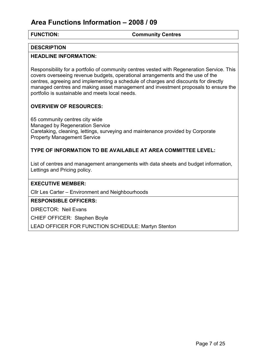# Area Functions Information – 2008 / 09

FUNCTION: Community Centres

#### **DESCRIPTION**

#### HEADLINE INFORMATION:

Responsibility for a portfolio of community centres vested with Regeneration Service. This covers overseeing revenue budgets, operational arrangements and the use of the centres, agreeing and implementing a schedule of charges and discounts for directly managed centres and making asset management and investment proposals to ensure the portfolio is sustainable and meets local needs.

#### OVERVIEW OF RESOURCES:

65 community centres city wide Managed by Regeneration Service Caretaking, cleaning, lettings, surveying and maintenance provided by Corporate Property Management Service

#### TYPE OF INFORMATION TO BE AVAILABLE AT AREA COMMITTEE LEVEL:

List of centres and management arrangements with data sheets and budget information, Lettings and Pricing policy.

#### EXECUTIVE MEMBER:

Cllr Les Carter – Environment and Neighbourhoods

#### RESPONSIBLE OFFICERS:

DIRECTOR: Neil Evans

CHIEF OFFICER: Stephen Boyle

LEAD OFFICER FOR FUNCTION SCHEDULE: Martyn Stenton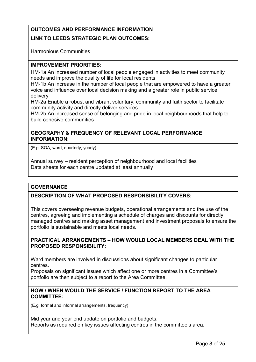#### LINK TO LEEDS STRATEGIC PLAN OUTCOMES:

Harmonious Communities

#### IMPROVEMENT PRIORITIES:

HM-1a An increased number of local people engaged in activities to meet community needs and improve the quality of life for local residents

HM-1b An increase in the number of local people that are empowered to have a greater voice and influence over local decision making and a greater role in public service delivery

HM-2a Enable a robust and vibrant voluntary, community and faith sector to facilitate community activity and directly deliver services

HM-2b An increased sense of belonging and pride in local neighbourhoods that help to build cohesive communities

#### GEOGRAPHY & FREQUENCY OF RELEVANT LOCAL PERFORMANCE INFORMATION:

(E.g. SOA, ward, quarterly, yearly)

Annual survey – resident perception of neighbourhood and local facilities Data sheets for each centre updated at least annually

#### **GOVERNANCE**

#### DESCRIPTION OF WHAT PROPOSED RESPONSIBILITY COVERS:

This covers overseeing revenue budgets, operational arrangements and the use of the centres, agreeing and implementing a schedule of charges and discounts for directly managed centres and making asset management and investment proposals to ensure the portfolio is sustainable and meets local needs.

#### PRACTICAL ARRANGEMENTS – HOW WOULD LOCAL MEMBERS DEAL WITH THE PROPOSED RESPONSIBILITY:

Ward members are involved in discussions about significant changes to particular centres.

Proposals on significant issues which affect one or more centres in a Committee's portfolio are then subject to a report to the Area Committee.

#### HOW / WHEN WOULD THE SERVICE / FUNCTION REPORT TO THE AREA COMMITTEE:

(E.g. formal and informal arrangements, frequency)

Mid year and year end update on portfolio and budgets. Reports as required on key issues affecting centres in the committee's area.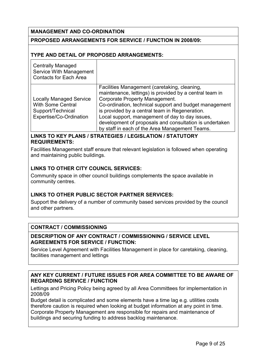#### MANAGEMENT AND CO-ORDINATION

#### PROPOSED ARRANGEMENTS FOR SERVICE / FUNCTION IN 2008/09:

#### TYPE AND DETAIL OF PROPOSED ARRANGEMENTS:

| <b>Centrally Managed</b><br>Service With Management<br><b>Contacts for Each Area</b>                       |                                                                                                                                                                                                                                                                                                                                                                                                                       |
|------------------------------------------------------------------------------------------------------------|-----------------------------------------------------------------------------------------------------------------------------------------------------------------------------------------------------------------------------------------------------------------------------------------------------------------------------------------------------------------------------------------------------------------------|
| <b>Locally Managed Service</b><br><b>With Some Central</b><br>Support/Technical<br>Expertise/Co-Ordination | Facilities Management (caretaking, cleaning,<br>maintenance, lettings) is provided by a central team in<br>Corporate Property Management.<br>Co-ordination, technical support and budget management<br>is provided by a central team in Regeneration.<br>Local support, management of day to day issues,<br>development of proposals and consultation is undertaken<br>by staff in each of the Area Management Teams. |

#### LINKS TO KEY PLANS / STRATEGIES / LEGISLATION / STATUTORY REQUIREMENTS:

Facilities Management staff ensure that relevant legislation is followed when operating and maintaining public buildings.

#### LINKS TO OTHER CITY COUNCIL SERVICES:

Community space in other council buildings complements the space available in community centres.

#### LINKS TO OTHER PUBLIC SECTOR PARTNER SERVICES:

Support the delivery of a number of community based services provided by the council and other partners.

#### CONTRACT / COMMISSIONING

#### DESCRIPTION OF ANY CONTRACT / COMMISSIONING / SERVICE LEVEL AGREEMENTS FOR SERVICE / FUNCTION:

Service Level Agreement with Facilities Management in place for caretaking, cleaning, facilities management and lettings

#### ANY KEY CURRENT / FUTURE ISSUES FOR AREA COMMITTEE TO BE AWARE OF REGARDING SERVICE / FUNCTION

Lettings and Pricing Policy being agreed by all Area Committees for implementation in 2008/09

Budget detail is complicated and some elements have a time lag e.g. utilities costs therefore caution is required when looking at budget information at any point in time. Corporate Property Management are responsible for repairs and maintenance of buildings and securing funding to address backlog maintenance.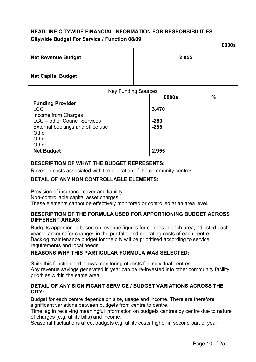# HEADLINE CITYWIDE FINANCIAL INFORMATION FOR RESPONSIBILITIES Citywide Budget For Service / Function 08/09 £000s Net Revenue Budget 2,955 Net Capital Budget Key Funding Sources  $2000<sub>e</sub>$   $0<sub>l</sub>$

|                                     | LUUUJ<br>7 U |
|-------------------------------------|--------------|
| <b>Funding Provider</b>             |              |
| <b>LCC</b>                          | 3,470        |
| Income from Charges                 |              |
| <b>LCC</b> - other Council Services | $-260$       |
| External bookings and office use    | $-255$       |
| Other                               |              |
| Other                               |              |
| Other                               |              |
| <b>Net Budget</b>                   | 2,955        |
|                                     |              |

#### DESCRIPTION OF WHAT THE BUDGET REPRESENTS:

Revenue costs associated with the operation of the community centres.

#### DETAIL OF ANY NON CONTROLLABLE ELEMENTS:

Provision of insurance cover and liability

Non-controllable capital asset charges.

These elements cannot be effectively monitored or controlled at an area level.

#### DESCRIPTION OF THE FORMULA USED FOR APPORTIONING BUDGET ACROSS DIFFERENT AREAS:

Budgets apportioned based on revenue figures for centres in each area, adjusted each year to account for changes in the portfolio and operating costs of each centre. Backlog maintenance budget for the city will be prioritised according to service requirements and local needs

#### REASONS WHY THIS PARTICULAR FORMULA WAS SELECTED:

Suits this function and allows monitoring of costs for individual centres. Any revenue savings generated in year can be re-invested into other community facility priorities within the same area.

#### DETAIL OF ANY SIGNIFICANT SERVICE / BUDGET VARIATIONS ACROSS THE CITY:

Budget for each centre depends on size, usage and income. There are therefore significant variations between budgets from centre to centre.

Time lag in receiving meaningful information on budgets centres by centre due to nature of charges (e.g. utility bills) and income.

Seasonal fluctuations affect budgets e.g. utility costs higher in second part of year.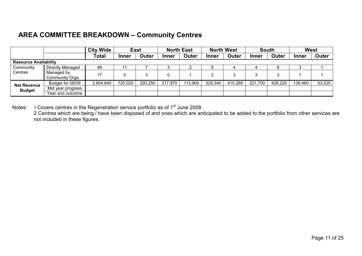# AREA COMMITTEE BREAKDOWN – Community Centres

|                    |                               | <b>City Wide</b> | <b>East</b>  |         | <b>North East</b> |         | <b>North West</b> |              | <b>South</b> |         | <b>West</b>  |        |
|--------------------|-------------------------------|------------------|--------------|---------|-------------------|---------|-------------------|--------------|--------------|---------|--------------|--------|
|                    |                               | Total            | <b>Inner</b> | Outer   | <b>Inner</b>      | Outer   | Inner             | <b>Outer</b> | Inner        | Outer   | <b>Inner</b> | Outer  |
|                    | <b>Resource Availability</b>  |                  |              |         |                   |         |                   |              |              |         |              |        |
| Community          | Directly Managed              | 48               |              |         | J                 |         |                   |              |              |         |              |        |
| Centres            | Managed by<br>Community Orgs. | 17               |              |         |                   |         |                   |              |              | ົ       |              |        |
| <b>Net Revenue</b> | Budget for 08/09              | 2,954,640        | 720,020      | 320,250 | 217,970           | 113,900 | 329,340           | 410,260      | 221,700      | 428,220 | 139,460      | 53,520 |
| <b>Budget</b>      | Mid year progress             |                  |              |         |                   |         |                   |              |              |         |              |        |
|                    | Year end outcome              |                  |              |         |                   |         |                   |              |              |         |              |        |

Notes: 1 Covers centres in the Regeneration service portfolio as of 1<sup>st</sup> June 2008.<br>2 Centres which are being / have been disposed of and ones which are anticipated to be added to the portfolio from other services are not included in these figures.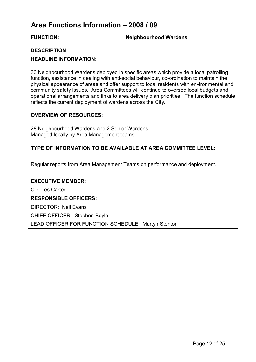# Area Functions Information – 2008 / 09

FUNCTION: Neighbourhood Wardens

#### **DESCRIPTION**

#### HEADLINE INFORMATION:

30 Neighbourhood Wardens deployed in specific areas which provide a local patrolling function, assistance in dealing with anti-social behaviour, co-ordination to maintain the physical appearance of areas and offer support to local residents with environmental and community safety issues. Area Committees will continue to oversee local budgets and operational arrangements and links to area delivery plan priorities. The function schedule reflects the current deployment of wardens across the City.

#### OVERVIEW OF RESOURCES:

28 Neighbourhood Wardens and 2 Senior Wardens. Managed locally by Area Management teams.

#### TYPE OF INFORMATION TO BE AVAILABLE AT AREA COMMITTEE LEVEL:

Regular reports from Area Management Teams on performance and deployment.

#### EXECUTIVE MEMBER:

Cllr. Les Carter

#### RESPONSIBLE OFFICERS:

DIRECTOR: Neil Evans

CHIEF OFFICER: Stephen Boyle

LEAD OFFICER FOR FUNCTION SCHEDULE: Martyn Stenton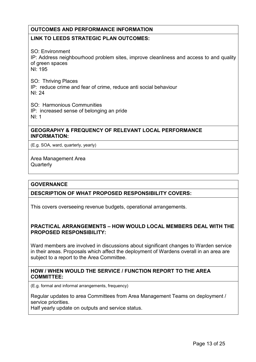#### LINK TO LEEDS STRATEGIC PLAN OUTCOMES:

SO: Environment IP: Address neighbourhood problem sites, improve cleanliness and access to and quality of green spaces NI: 195

SO: Thriving Places IP: reduce crime and fear of crime, reduce anti social behaviour NI: 24

SO: Harmonious Communities IP: increased sense of belonging an pride NI: 1

#### GEOGRAPHY & FREQUENCY OF RELEVANT LOCAL PERFORMANCE INFORMATION:

(E.g. SOA, ward, quarterly, yearly)

Area Management Area **Quarterly** 

#### **GOVERNANCE**

#### DESCRIPTION OF WHAT PROPOSED RESPONSIBILITY COVERS:

This covers overseeing revenue budgets, operational arrangements.

#### PRACTICAL ARRANGEMENTS – HOW WOULD LOCAL MEMBERS DEAL WITH THE PROPOSED RESPONSIBILITY:

Ward members are involved in discussions about significant changes to Warden service in their areas. Proposals which affect the deployment of Wardens overall in an area are subject to a report to the Area Committee.

#### HOW / WHEN WOULD THE SERVICE / FUNCTION REPORT TO THE AREA COMMITTEE:

(E.g. formal and informal arrangements, frequency)

Regular updates to area Committees from Area Management Teams on deployment / service priorities.

Half yearly update on outputs and service status.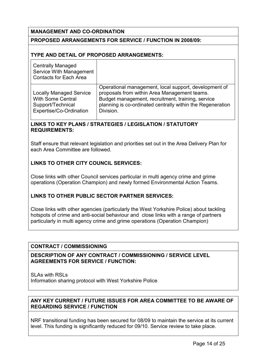#### MANAGEMENT AND CO-ORDINATION

#### PROPOSED ARRANGEMENTS FOR SERVICE / FUNCTION IN 2008/09:

#### TYPE AND DETAIL OF PROPOSED ARRANGEMENTS:

| <b>Centrally Managed</b><br>Service With Management<br><b>Contacts for Each Area</b>                       |                                                                                                                                                                                                                                       |
|------------------------------------------------------------------------------------------------------------|---------------------------------------------------------------------------------------------------------------------------------------------------------------------------------------------------------------------------------------|
| <b>Locally Managed Service</b><br><b>With Some Central</b><br>Support/Technical<br>Expertise/Co-Ordination | Operational management, local support, development of<br>proposals from within Area Management teams.<br>Budget management, recruitment, training, service<br>planning is co-ordinated centrally within the Regeneration<br>Division. |

#### LINKS TO KEY PLANS / STRATEGIES / LEGISLATION / STATUTORY REQUIREMENTS:

Staff ensure that relevant legislation and priorities set out in the Area Delivery Plan for each Area Committee are followed.

#### LINKS TO OTHER CITY COUNCIL SERVICES:

Close links with other Council services particular in multi agency crime and grime operations (Operation Champion) and newly formed Environmental Action Teams.

#### LINKS TO OTHER PUBLIC SECTOR PARTNER SERVICES:

Close links with other agencies (particularly the West Yorkshire Police) about tackling hotspots of crime and anti-social behaviour and close links with a range of partners particularly in multi agency crime and grime operations (Operation Champion)

#### CONTRACT / COMMISSIONING

DESCRIPTION OF ANY CONTRACT / COMMISSIONING / SERVICE LEVEL AGREEMENTS FOR SERVICE / FUNCTION:

SLAs with RSLs Information sharing protocol with West Yorkshire Police

#### ANY KEY CURRENT / FUTURE ISSUES FOR AREA COMMITTEE TO BE AWARE OF REGARDING SERVICE / FUNCTION

NRF transitional funding has been secured for 08/09 to maintain the service at its current level. This funding is significantly reduced for 09/10. Service review to take place.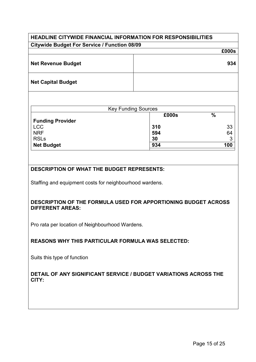## HEADLINE CITYWIDE FINANCIAL INFORMATION FOR RESPONSIBILITIES Citywide Budget For Service / Function 08/09

|                           | £000s |
|---------------------------|-------|
| <b>Net Revenue Budget</b> | 934   |
| <b>Net Capital Budget</b> |       |

| <b>Key Funding Sources</b> |       |      |  |  |  |  |  |
|----------------------------|-------|------|--|--|--|--|--|
|                            | £000s | $\%$ |  |  |  |  |  |
| <b>Funding Provider</b>    |       |      |  |  |  |  |  |
| <b>LCC</b>                 | 310   | 33   |  |  |  |  |  |
| <b>NRF</b>                 | 594   | 64   |  |  |  |  |  |
| <b>RSLs</b>                | 30    | ≏    |  |  |  |  |  |
| Net Budget                 | 934   | 100  |  |  |  |  |  |

#### DESCRIPTION OF WHAT THE BUDGET REPRESENTS:

Staffing and equipment costs for neighbourhood wardens.

#### DESCRIPTION OF THE FORMULA USED FOR APPORTIONING BUDGET ACROSS DIFFERENT AREAS:

Pro rata per location of Neighbourhood Wardens.

#### REASONS WHY THIS PARTICULAR FORMULA WAS SELECTED:

Suits this type of function

#### DETAIL OF ANY SIGNIFICANT SERVICE / BUDGET VARIATIONS ACROSS THE CITY: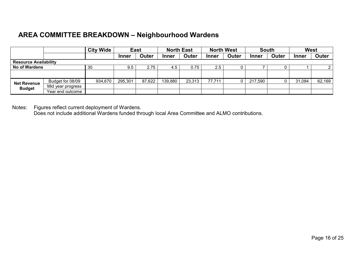# AREA COMMITTEE BREAKDOWN – Neighbourhood Wardens

|                                     | <b>City Wide</b><br><b>East</b> |         |              | <b>North East</b> |              | <b>North West</b> |        | <b>South</b> |         | <b>West</b>  |              |        |
|-------------------------------------|---------------------------------|---------|--------------|-------------------|--------------|-------------------|--------|--------------|---------|--------------|--------------|--------|
|                                     |                                 |         | <b>Inner</b> | Outer             | <b>Inner</b> | Outer             | Inner  | Outer        | Inner   | <b>Outer</b> | <b>Inner</b> | Outer  |
| <b>Resource Availability</b>        |                                 |         |              |                   |              |                   |        |              |         |              |              |        |
| <b>No of Wardens</b>                |                                 | 30      | 9.5          | 2.75              | 4.5          | 0.75              | 2.5    |              |         |              |              |        |
|                                     |                                 |         |              |                   |              |                   |        |              |         |              |              |        |
| <b>Net Revenue</b><br><b>Budget</b> | Budget for 08/09                | 934,670 | 295,301      | 87,622            | 139,880      | 23,313            | 77,711 |              | 217,590 |              | 31,084       | 62,169 |
|                                     | Mid year progress               |         |              |                   |              |                   |        |              |         |              |              |        |
|                                     | Year end outcome                |         |              |                   |              |                   |        |              |         |              |              |        |

Notes: Figures reflect current deployment of Wardens. Does not include additional Wardens funded through local Area Committee and ALMO contributions.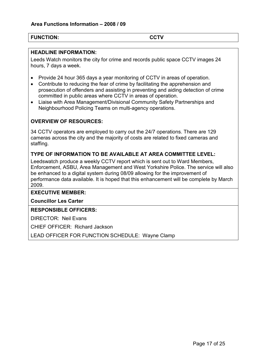#### FUNCTION: CCTV

#### HEADLINE INFORMATION:

Leeds Watch monitors the city for crime and records public space CCTV images 24 hours, 7 days a week.

- Provide 24 hour 365 days a year monitoring of CCTV in areas of operation.
- Contribute to reducing the fear of crime by facilitating the apprehension and prosecution of offenders and assisting in preventing and aiding detection of crime committed in public areas where CCTV in areas of operation.
- Liaise with Area Management/Divisional Community Safety Partnerships and Neighbourhood Policing Teams on multi-agency operations.

#### OVERVIEW OF RESOURCES:

34 CCTV operators are employed to carry out the 24/7 operations. There are 129 cameras across the city and the majority of costs are related to fixed cameras and staffing.

#### TYPE OF INFORMATION TO BE AVAILABLE AT AREA COMMITTEE LEVEL:

Leedswatch produce a weekly CCTV report which is sent out to Ward Members, Enforcement, ASBU, Area Management and West Yorkshire Police. The service will also be enhanced to a digital system during 08/09 allowing for the improvement of performance data available. It is hoped that this enhancement will be complete by March 2009.

#### EXECUTIVE MEMBER:

Councillor Les Carter

#### RESPONSIBLE OFFICERS:

DIRECTOR: Neil Evans

CHIEF OFFICER: Richard Jackson

LEAD OFFICER FOR FUNCTION SCHEDULE: Wayne Clamp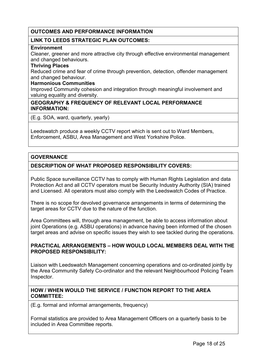#### LINK TO LEEDS STRATEGIC PLAN OUTCOMES:

#### **Environment**

Cleaner, greener and more attractive city through effective environmental management and changed behaviours.

#### Thriving Places

Reduced crime and fear of crime through prevention, detection, offender management and changed behaviour.

#### Harmonious Communities

Improved Community cohesion and integration through meaningful involvement and valuing equality and diversity.

#### GEOGRAPHY & FREQUENCY OF RELEVANT LOCAL PERFORMANCE INFORMATION:

(E.g. SOA, ward, quarterly, yearly)

Leedswatch produce a weekly CCTV report which is sent out to Ward Members, Enforcement, ASBU, Area Management and West Yorkshire Police.

#### **GOVERNANCE**

#### DESCRIPTION OF WHAT PROPOSED RESPONSIBILITY COVERS:

Public Space surveillance CCTV has to comply with Human Rights Legislation and data Protection Act and all CCTV operators must be Security Industry Authority (SIA) trained and Licensed. All operators must also comply with the Leedswatch Codes of Practice.

There is no scope for devolved governance arrangements in terms of determining the target areas for CCTV due to the nature of the function.

Area Committees will, through area management, be able to access information about joint Operations (e.g. ASBU operations) in advance having been informed of the chosen target areas and advise on specific issues they wish to see tackled during the operations.

#### PRACTICAL ARRANGEMENTS – HOW WOULD LOCAL MEMBERS DEAL WITH THE PROPOSED RESPONSIBILITY:

Liaison with Leedswatch Management concerning operations and co-ordinated jointly by the Area Community Safety Co-ordinator and the relevant Neighbourhood Policing Team Inspector.

#### HOW / WHEN WOULD THE SERVICE / FUNCTION REPORT TO THE AREA COMMITTEE:

(E.g. formal and informal arrangements, frequency)

Formal statistics are provided to Area Management Officers on a quarterly basis to be included in Area Committee reports.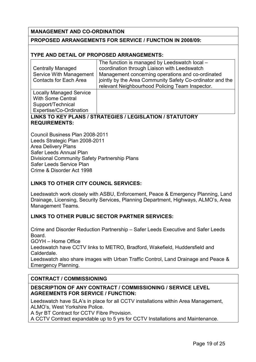#### MANAGEMENT AND CO-ORDINATION

#### PROPOSED ARRANGEMENTS FOR SERVICE / FUNCTION IN 2008/09:

#### TYPE AND DETAIL OF PROPOSED ARRANGEMENTS:

|                                | The function is managed by Leedswatch local -             |
|--------------------------------|-----------------------------------------------------------|
| <b>Centrally Managed</b>       | coordination through Liaison with Leedswatch              |
| Service With Management        | Management concerning operations and co-ordinated         |
| <b>Contacts for Each Area</b>  | jointly by the Area Community Safety Co-ordinator and the |
|                                | relevant Neighbourhood Policing Team Inspector.           |
| <b>Locally Managed Service</b> |                                                           |
| <b>With Some Central</b>       |                                                           |
| Support/Technical              |                                                           |
| Expertise/Co-Ordination        |                                                           |

### LINKS TO KEY PLANS / STRATEGIES / LEGISLATION / STATUTORY REQUIREMENTS:

Council Business Plan 2008-2011 Leeds Strategic Plan 2008-2011 Area Delivery Plans Safer Leeds Annual Plan Divisional Community Safety Partnership Plans Safer Leeds Service Plan Crime & Disorder Act 1998

#### LINKS TO OTHER CITY COUNCIL SERVICES:

Leedswatch work closely with ASBU, Enforcement, Peace & Emergency Planning, Land Drainage, Licensing, Security Services, Planning Department, Highways, ALMO's, Area Management Teams.

#### LINKS TO OTHER PUBLIC SECTOR PARTNER SERVICES:

Crime and Disorder Reduction Partnership – Safer Leeds Executive and Safer Leeds Board.

GOYH – Home Office

Leedswatch have CCTV links to METRO, Bradford, Wakefield, Huddersfield and Calderdale.

Leedswatch also share images with Urban Traffic Control, Land Drainage and Peace & Emergency Planning.

#### CONTRACT / COMMISSIONING

#### DESCRIPTION OF ANY CONTRACT / COMMISSIONING / SERVICE LEVEL AGREEMENTS FOR SERVICE / FUNCTION:

Leedswatch have SLA's in place for all CCTV installations within Area Management, ALMO's, West Yorkshire Police.

A 5yr BT Contract for CCTV Fibre Provision.

A CCTV Contract expandable up to 5 yrs for CCTV Installations and Maintenance.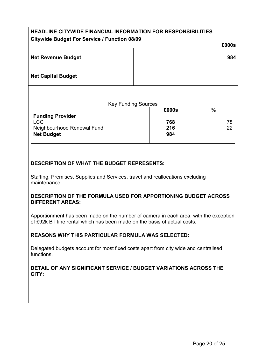# HEADLINE CITYWIDE FINANCIAL INFORMATION FOR RESPONSIBILITIES Citywide Budget For Service / Function 08/09 £000s Net Revenue Budget **984** Net Capital Budget

| <b>Key Funding Sources</b> |       |               |
|----------------------------|-------|---------------|
|                            | £000s | $\frac{0}{0}$ |
| <b>Funding Provider</b>    |       |               |
| <b>LCC</b>                 | 768   | 78            |
| Neighbourhood Renewal Fund | 216   | 22            |
| <b>Net Budget</b>          | 984   |               |
|                            |       |               |

#### DESCRIPTION OF WHAT THE BUDGET REPRESENTS:

Staffing, Premises, Supplies and Services, travel and reallocations excluding maintenance.

#### DESCRIPTION OF THE FORMULA USED FOR APPORTIONING BUDGET ACROSS DIFFERENT AREAS:

Apportionment has been made on the number of camera in each area, with the exception of £92k BT line rental which has been made on the basis of actual costs.

#### REASONS WHY THIS PARTICULAR FORMULA WAS SELECTED:

Delegated budgets account for most fixed costs apart from city wide and centralised functions.

#### DETAIL OF ANY SIGNIFICANT SERVICE / BUDGET VARIATIONS ACROSS THE CITY: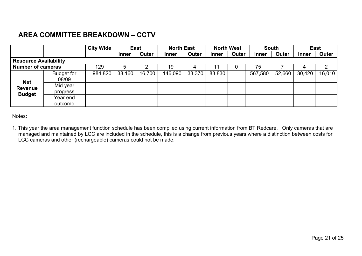# AREA COMMITTEE BREAKDOWN – CCTV

|                                               |                      | <b>City Wide</b> | <b>East</b>  |        | <b>North East</b> |        | <b>North West</b> |       | <b>South</b> |        | <b>East</b>  |        |
|-----------------------------------------------|----------------------|------------------|--------------|--------|-------------------|--------|-------------------|-------|--------------|--------|--------------|--------|
|                                               |                      |                  | <b>Inner</b> | Outer  | <b>Inner</b>      | Outer  | <b>Inner</b>      | Outer | <b>Inner</b> | Outer  | <b>Inner</b> | Outer  |
| <b>Resource Availability</b>                  |                      |                  |              |        |                   |        |                   |       |              |        |              |        |
| <b>Number of cameras</b>                      |                      | 129              | 5            |        | 19                |        |                   |       | 75           |        |              | 2      |
| <b>Net</b><br><b>Revenue</b><br><b>Budget</b> | Budget for<br>08/09  | 984,820          | 38,160       | 16,700 | 146,090           | 33,370 | 83,830            |       | 567,580      | 52,660 | 30,420       | 16,010 |
|                                               | Mid year<br>progress |                  |              |        |                   |        |                   |       |              |        |              |        |
|                                               | Year end<br>outcome  |                  |              |        |                   |        |                   |       |              |        |              |        |

Notes:

1. This year the area management function schedule has been compiled using current information from BT Redcare. Only cameras that are managed and maintained by LCC are included in the schedule, this is a change from previous years where a distinction between costs for LCC cameras and other (rechargeable) cameras could not be made.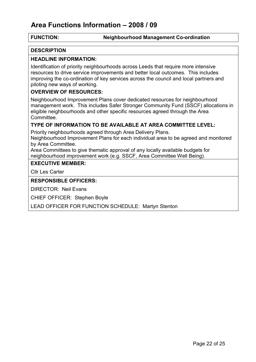# Area Functions Information – 2008 / 09

#### FUNCTION: Neighbourhood Management Co-ordination

#### **DESCRIPTION**

#### HEADLINE INFORMATION:

Identification of priority neighbourhoods across Leeds that require more intensive resources to drive service improvements and better local outcomes. This includes improving the co-ordination of key services across the council and local partners and piloting new ways of working.

#### OVERVIEW OF RESOURCES:

Neighbourhood Improvement Plans cover dedicated resources for neighbourhood management work. This includes Safer Stronger Community Fund (SSCF) allocations in eligible neighbourhoods and other specific resources agreed through the Area Committee.

#### TYPE OF INFORMATION TO BE AVAILABLE AT AREA COMMITTEE LEVEL:

Priority neighbourhoods agreed through Area Delivery Plans.

Neighbourhood Improvement Plans for each individual area to be agreed and monitored by Area Committee.

Area Committees to give thematic approval of any locally available budgets for neighbourhood improvement work (e.g. SSCF, Area Committee Well Being).

#### EXECUTIVE MEMBER:

Cllr Les Carter

#### RESPONSIBLE OFFICERS:

DIRECTOR: Neil Evans

CHIEF OFFICER: Stephen Boyle

LEAD OFFICER FOR FUNCTION SCHEDULE: Martyn Stenton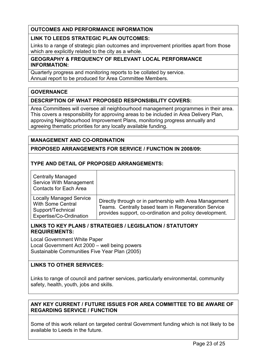#### LINK TO LEEDS STRATEGIC PLAN OUTCOMES:

Links to a range of strategic plan outcomes and improvement priorities apart from those which are explicitly related to the city as a whole.

#### GEOGRAPHY & FREQUENCY OF RELEVANT LOCAL PERFORMANCE INFORMATION:

Quarterly progress and monitoring reports to be collated by service. Annual report to be produced for Area Committee Members.

#### **GOVERNANCE**

#### DESCRIPTION OF WHAT PROPOSED RESPONSIBILITY COVERS:

Area Committees will oversee all neighbourhood management programmes in their area. This covers a responsibility for approving areas to be included in Area Delivery Plan, approving Neighbourhood Improvement Plans, monitoring progress annually and agreeing thematic priorities for any locally available funding.

#### MANAGEMENT AND CO-ORDINATION

#### PROPOSED ARRANGEMENTS FOR SERVICE / FUNCTION IN 2008/09:

#### TYPE AND DETAIL OF PROPOSED ARRANGEMENTS:

| <b>Centrally Managed</b><br>Service With Management<br><b>Contacts for Each Area</b>                       |                                                                                                                                                                           |
|------------------------------------------------------------------------------------------------------------|---------------------------------------------------------------------------------------------------------------------------------------------------------------------------|
| <b>Locally Managed Service</b><br><b>With Some Central</b><br>Support/Technical<br>Expertise/Co-Ordination | Directly through or in partnership with Area Management<br>Teams. Centrally based team in Regeneration Service<br>provides support, co-ordination and policy development. |

#### LINKS TO KEY PLANS / STRATEGIES / LEGISLATION / STATUTORY REQUIREMENTS:

Local Government White Paper Local Government Act 2000 – well being powers Sustainable Communities Five Year Plan (2005)

#### LINKS TO OTHER SERVICES:

Links to range of council and partner services, particularly environmental, community safety, health, youth, jobs and skills.

#### ANY KEY CURRENT / FUTURE ISSUES FOR AREA COMMITTEE TO BE AWARE OF REGARDING SERVICE / FUNCTION

Some of this work reliant on targeted central Government funding which is not likely to be available to Leeds in the future.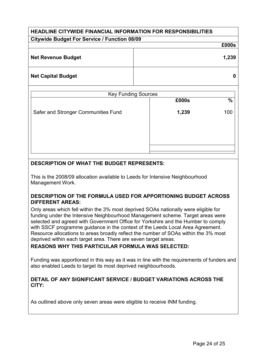# HEADLINE CITYWIDE FINANCIAL INFORMATION FOR RESPONSIBILITIES Citywide Budget For Service / Function 08/09 £000s Net Revenue Budget 1,239 Net Capital Budget and the control of the control of the control of the control of the control of the control o

| <b>Key Funding Sources</b>          |       |               |
|-------------------------------------|-------|---------------|
|                                     | £000s | $\frac{0}{0}$ |
| Safer and Stronger Communities Fund | 1,239 | 100           |
|                                     |       |               |
|                                     |       |               |
|                                     |       |               |
|                                     |       |               |

#### DESCRIPTION OF WHAT THE BUDGET REPRESENTS:

This is the 2008/09 allocation available to Leeds for Intensive Neighbourhood Management Work.

#### DESCRIPTION OF THE FORMULA USED FOR APPORTIONING BUDGET ACROSS DIFFERENT AREAS:

Only areas which fell within the 3% most deprived SOAs nationally were eligible for funding under the Intensive Neighbourhood Management scheme. Target areas were selected and agreed with Government Office for Yorkshire and the Humber to comply with SSCF programme guidance in the context of the Leeds Local Area Agreement. Resource allocations to areas broadly reflect the number of SOAs within the 3% most deprived within each target area. There are seven target areas.

#### REASONS WHY THIS PARTICULAR FORMULA WAS SELECTED:

Funding was apportioned in this way as it was in line with the requirements of funders and also enabled Leeds to target its most deprived neighbourhoods.

#### DETAIL OF ANY SIGNIFICANT SERVICE / BUDGET VARIATIONS ACROSS THE CITY:

As outlined above only seven areas were eligible to receive INM funding.